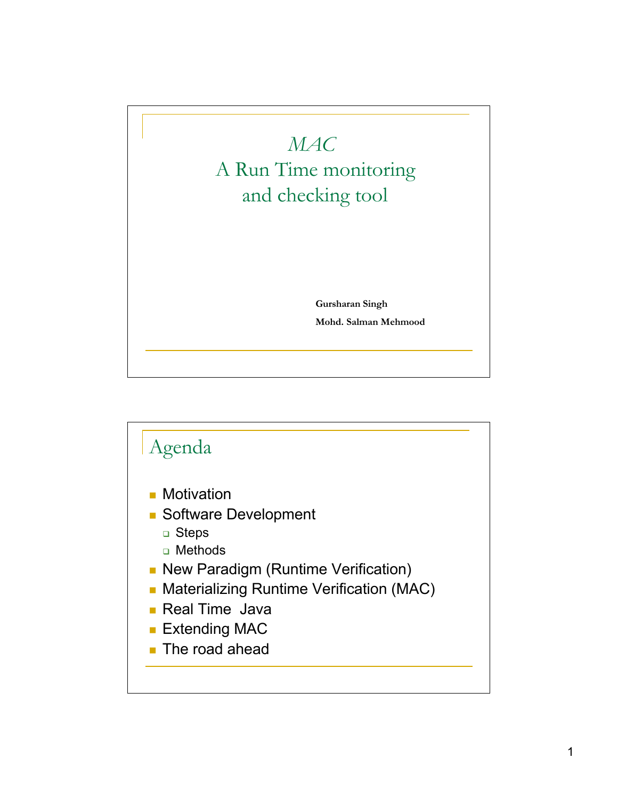## *MAC* A Run Time monitoring and checking tool

**Gursharan Singh Mohd. Salman Mehmood**

## Agenda **Motivation** Software Development □ Steps □ Methods **New Paradigm (Runtime Verification) • Materializing Runtime Verification (MAC) Real Time Java Extending MAC The road ahead**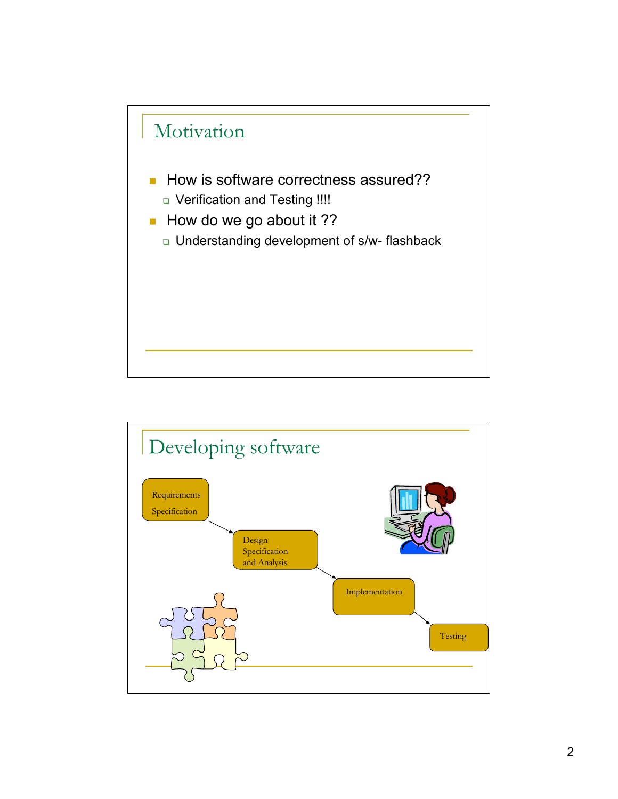

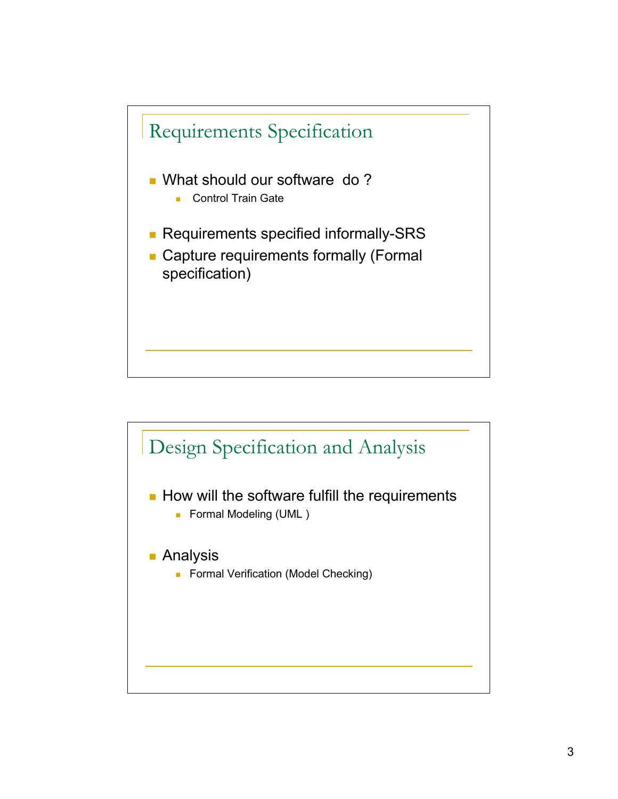

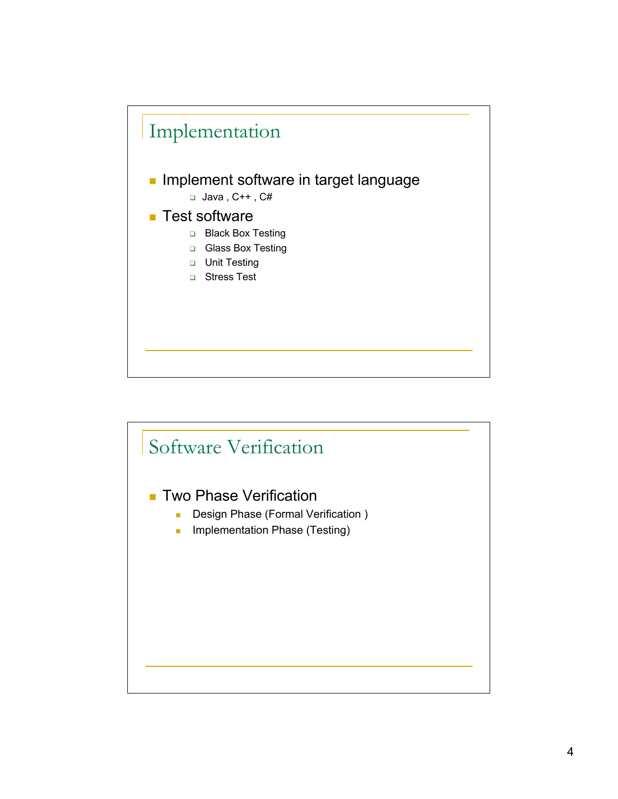

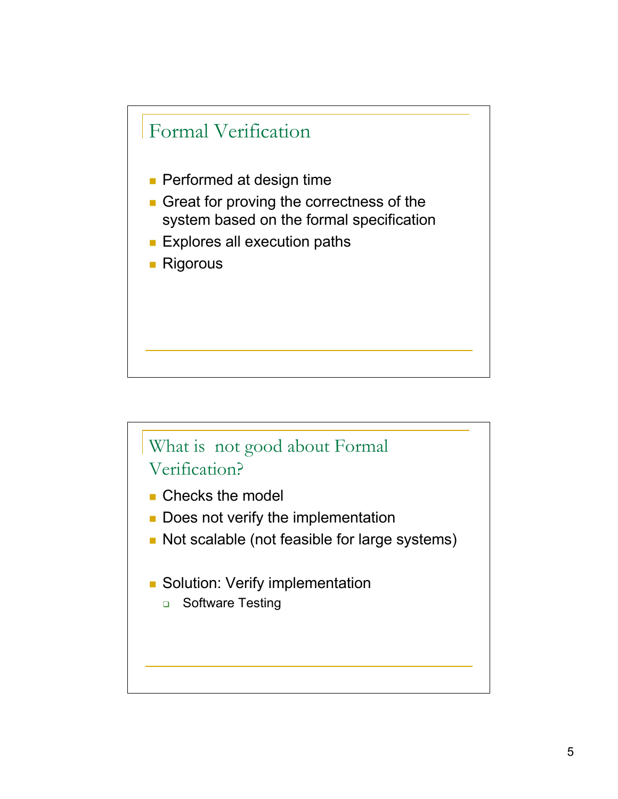

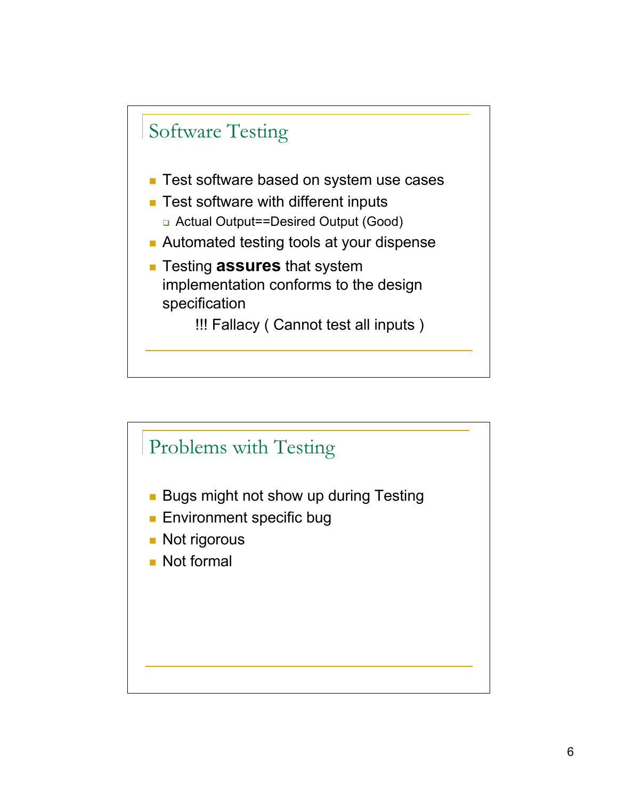

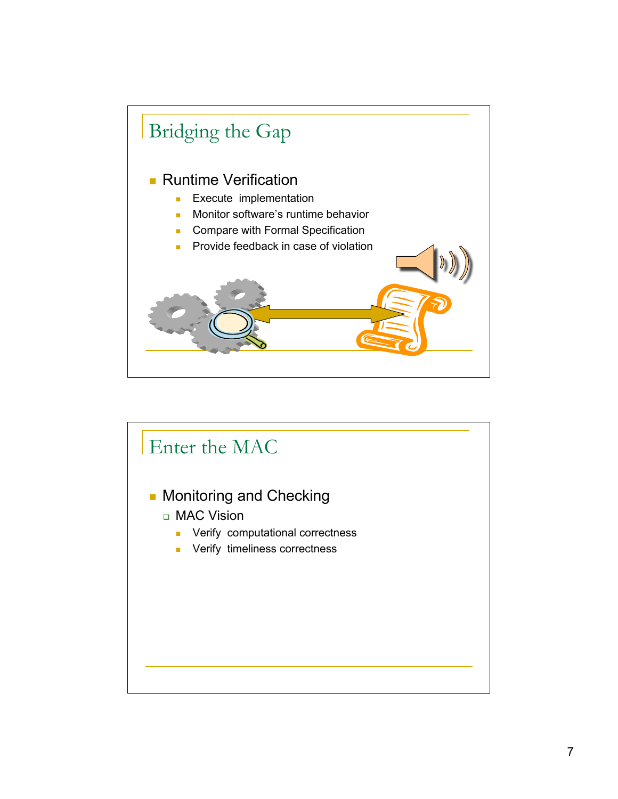

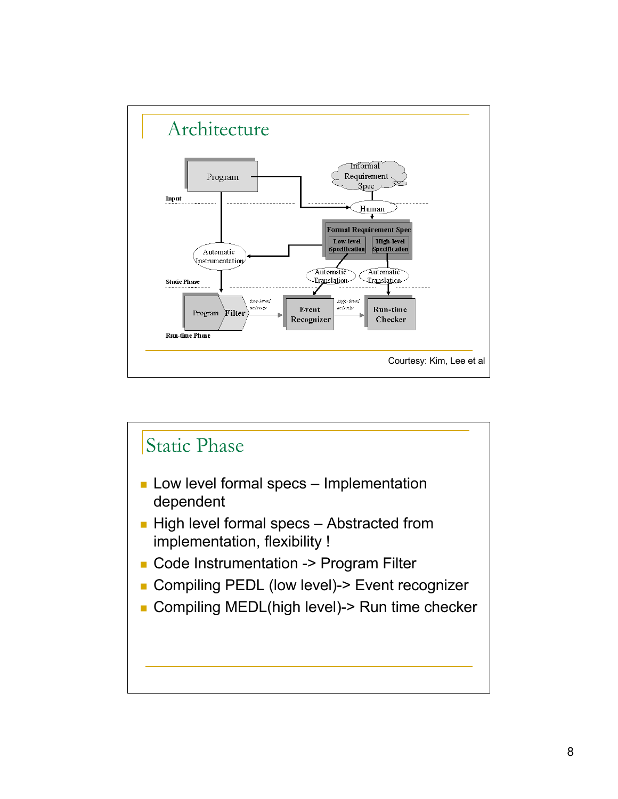

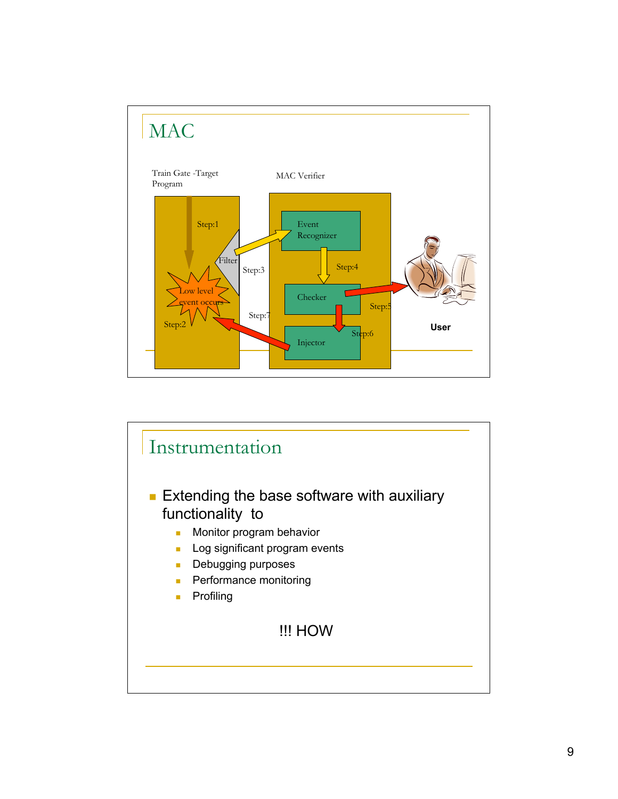

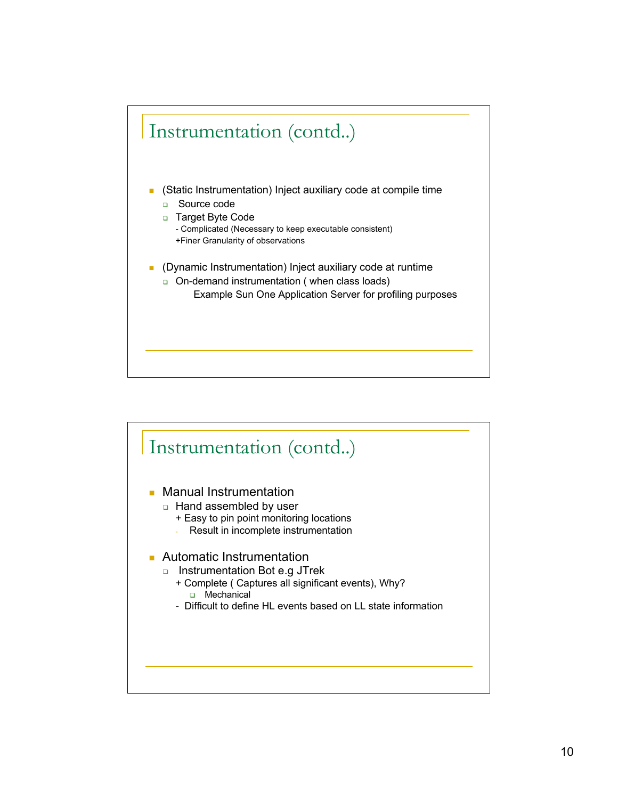

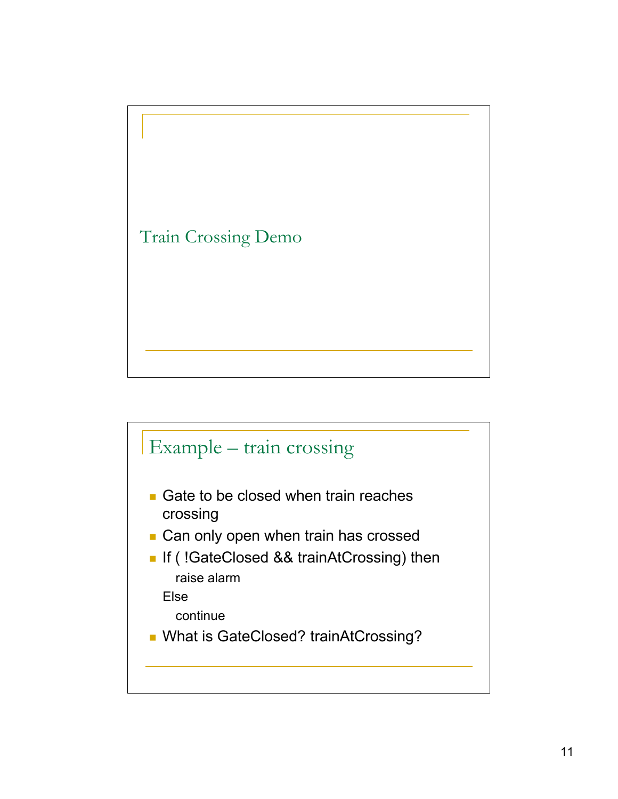

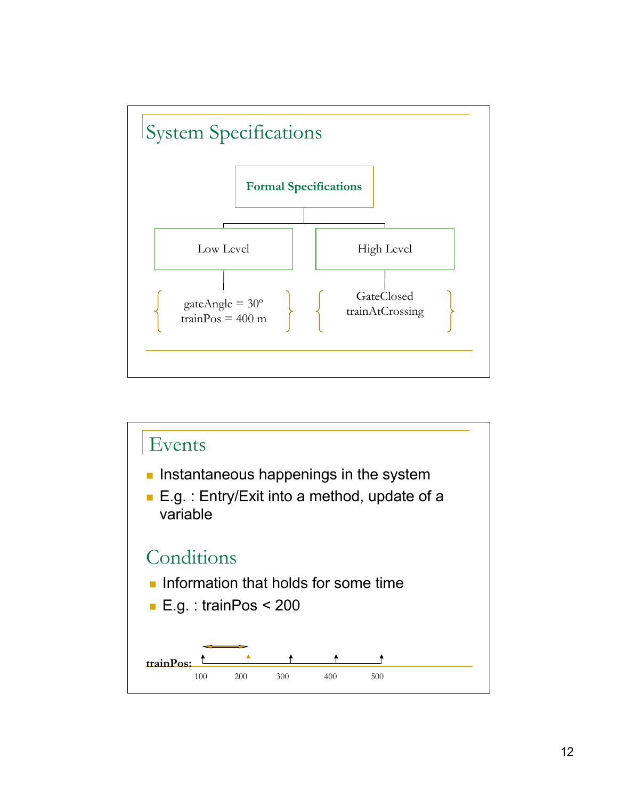

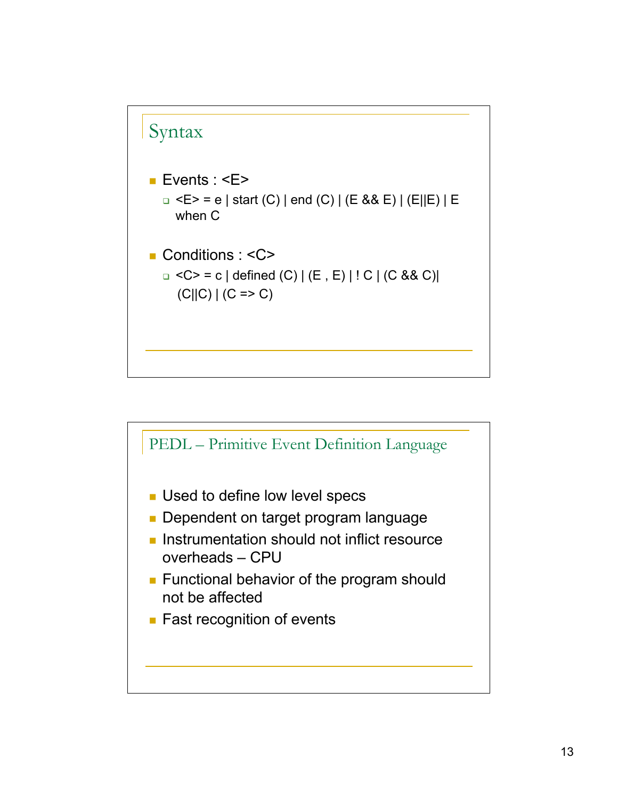

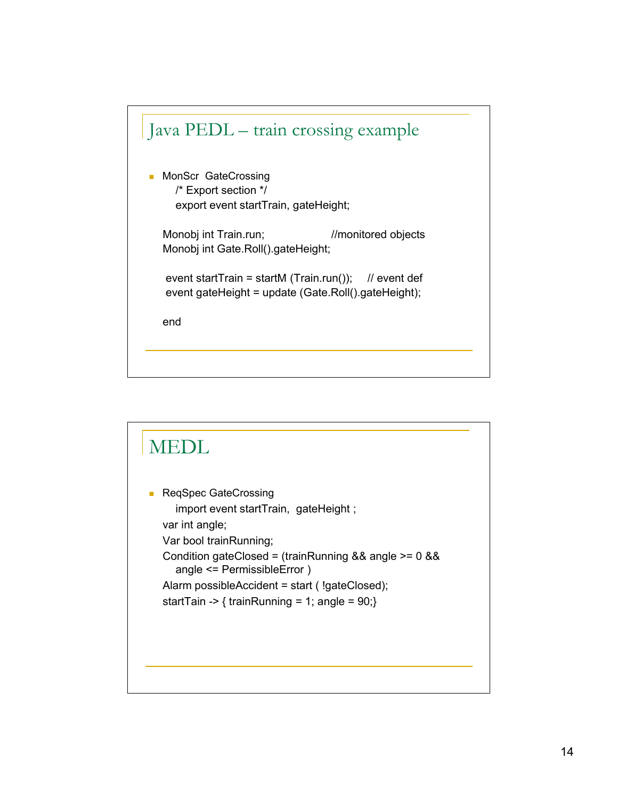

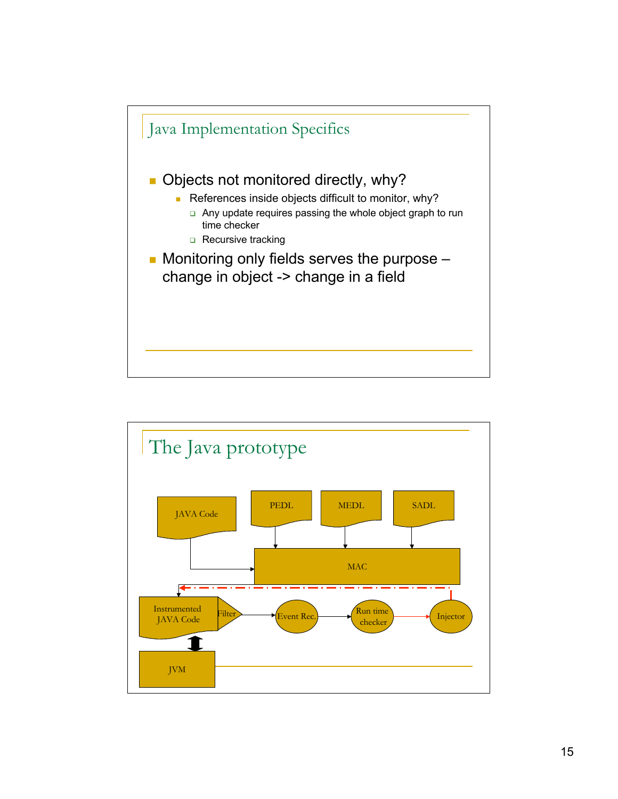

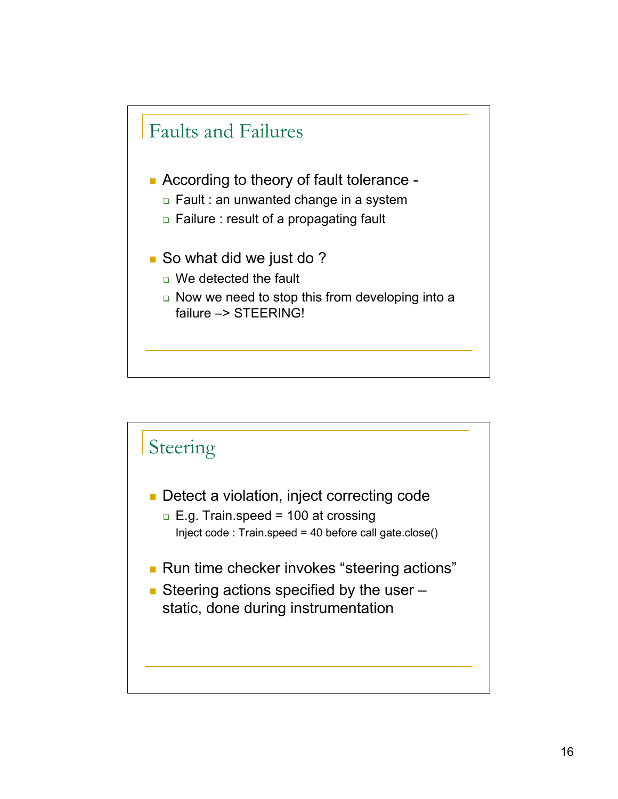

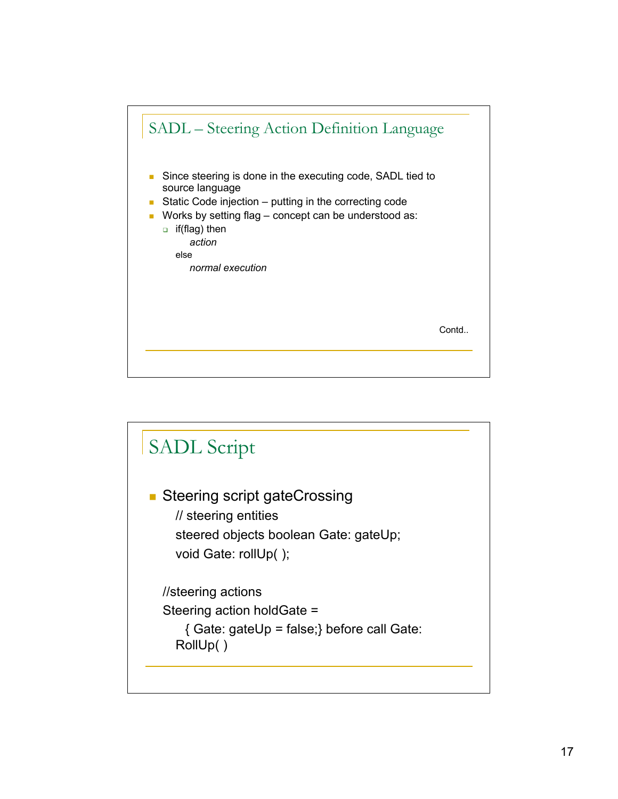

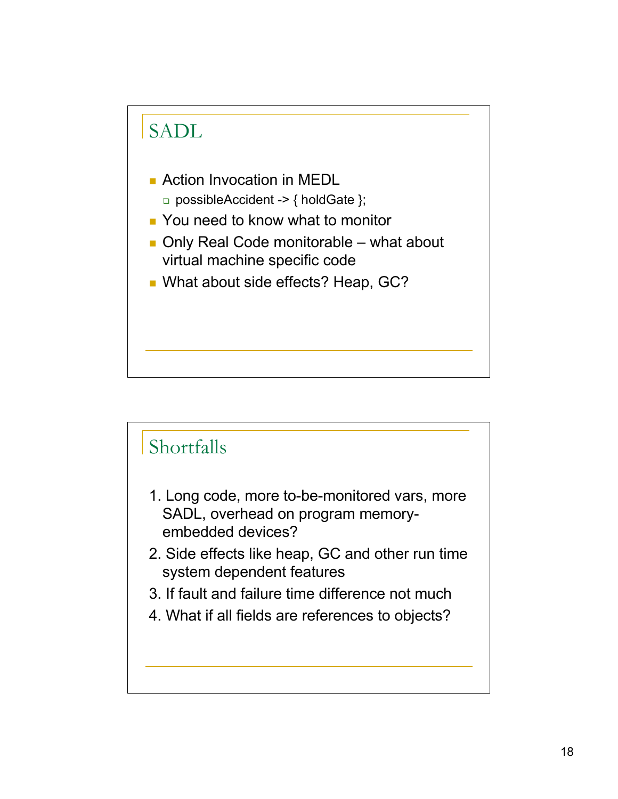



- 1. Long code, more to-be-monitored vars, more SADL, overhead on program memoryembedded devices?
- 2. Side effects like heap, GC and other run time system dependent features
- 3. If fault and failure time difference not much
- 4. What if all fields are references to objects?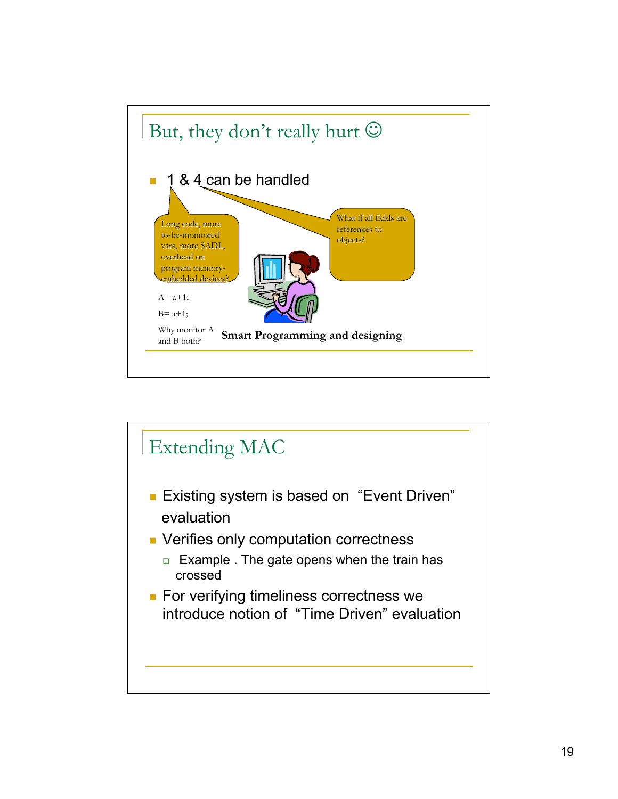

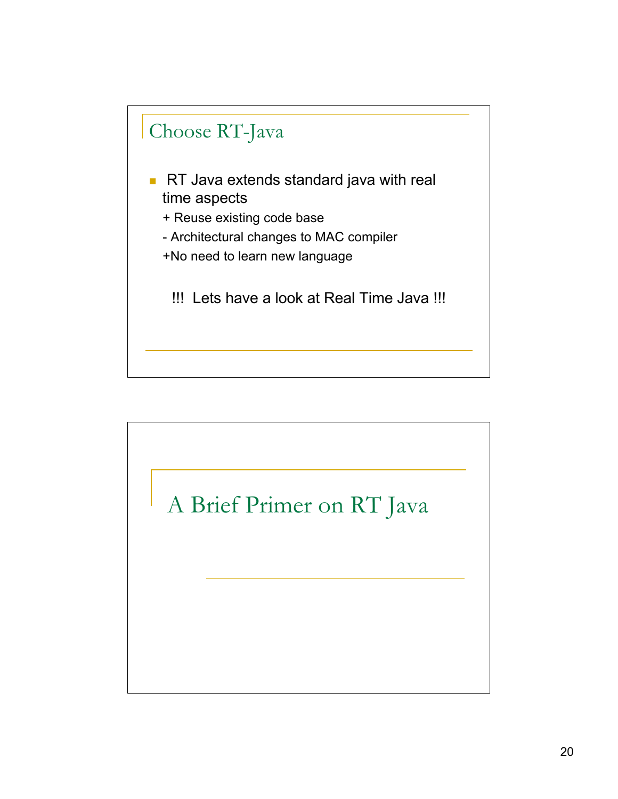

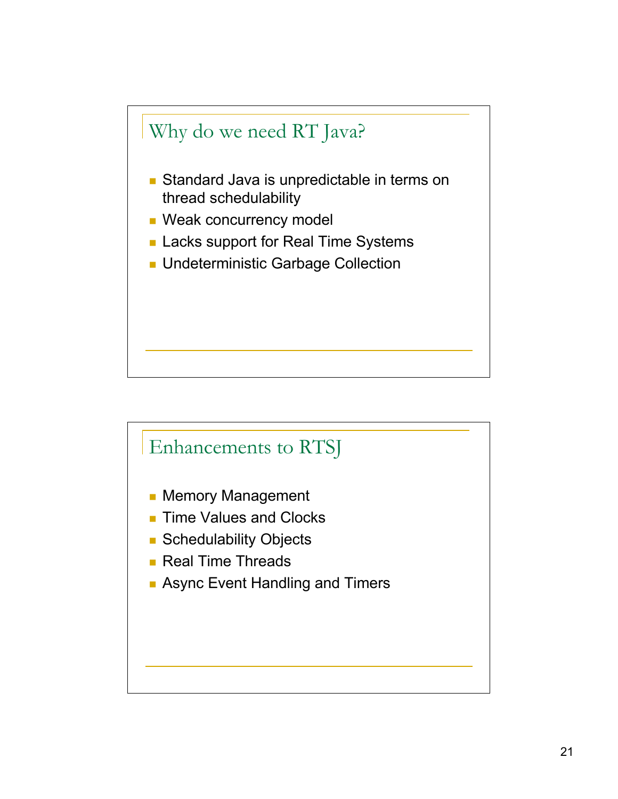

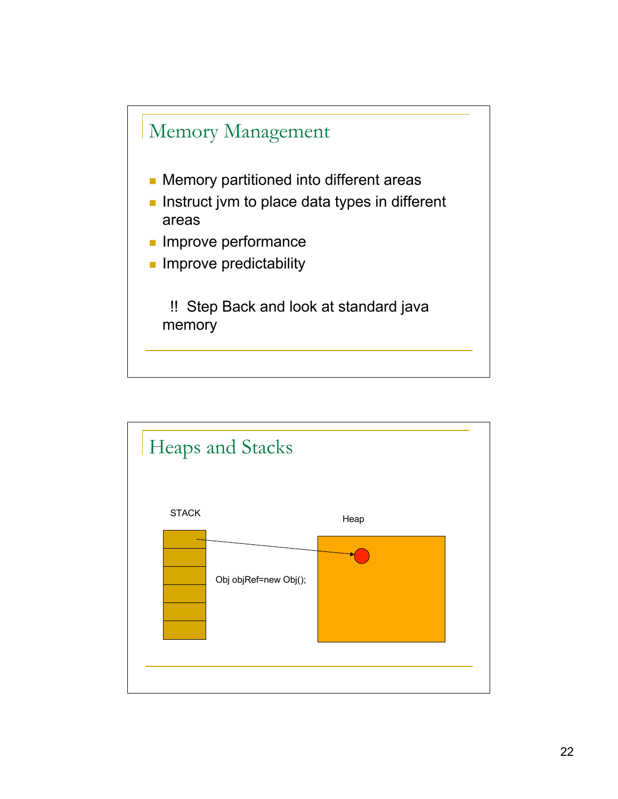

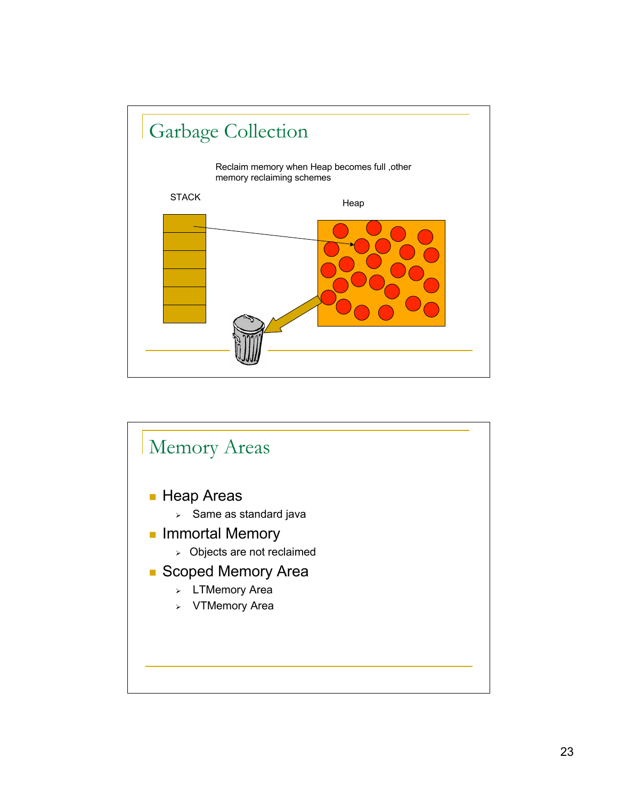

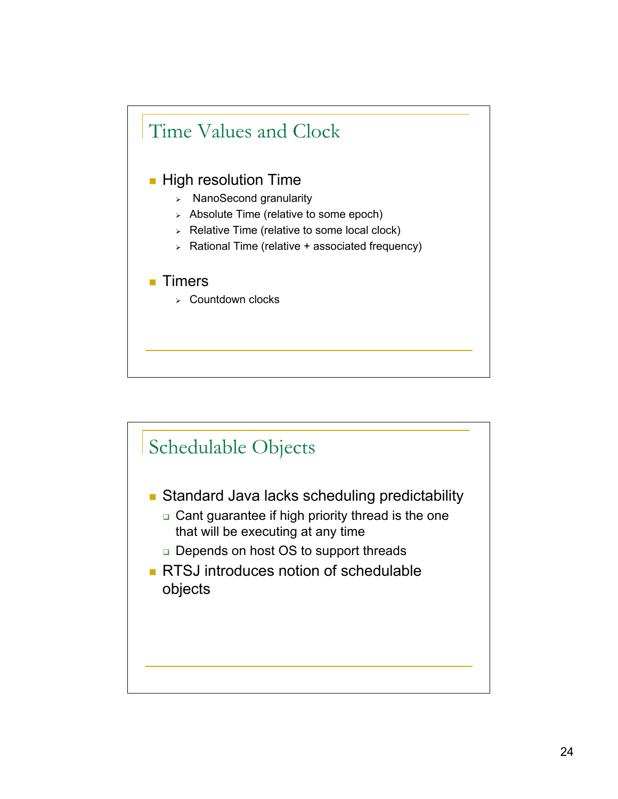

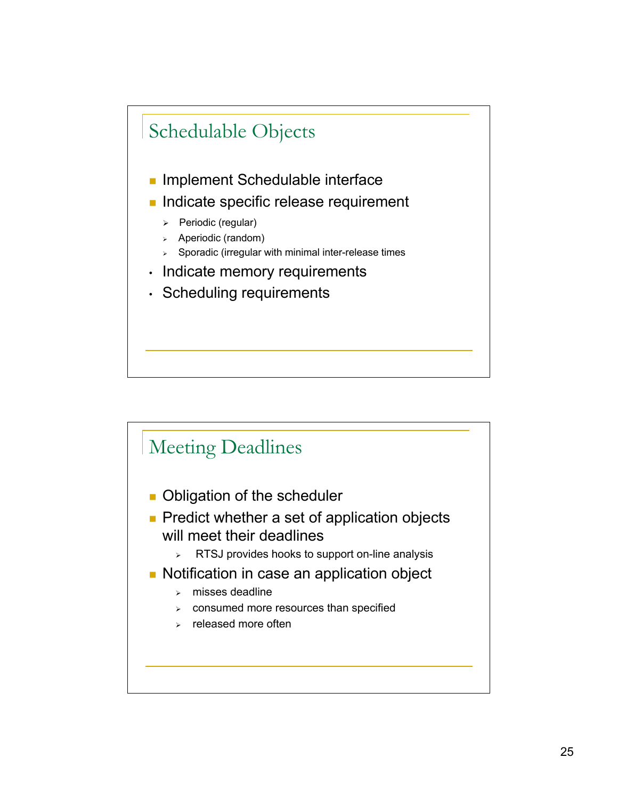

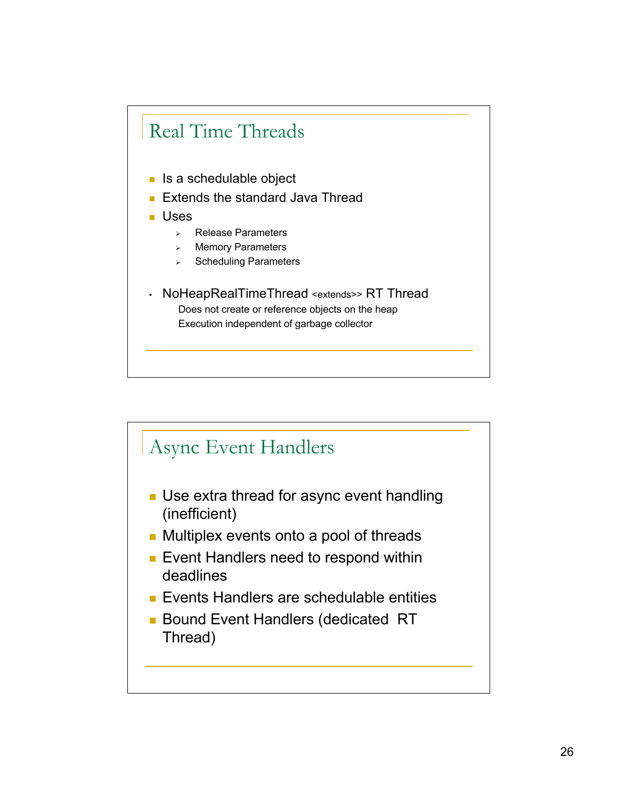## Real Time Threads

- $\blacksquare$  Is a schedulable object
- **Extends the standard Java Thread**
- Uses
	- **Release Parameters**
	- > Memory Parameters
	- $\triangleright$  Scheduling Parameters
- NoHeapRealTimeThread <extends>> RT Thread Does not create or reference objects on the heap Execution independent of garbage collector

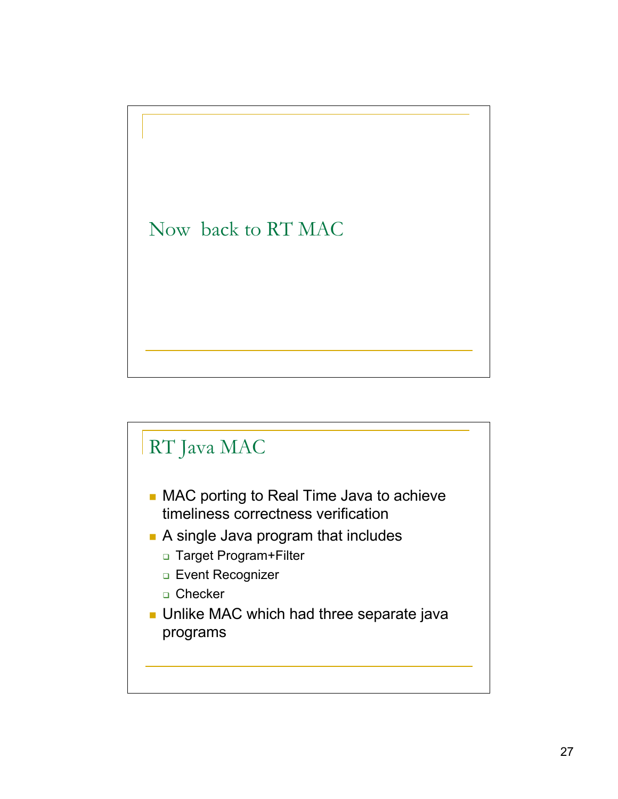

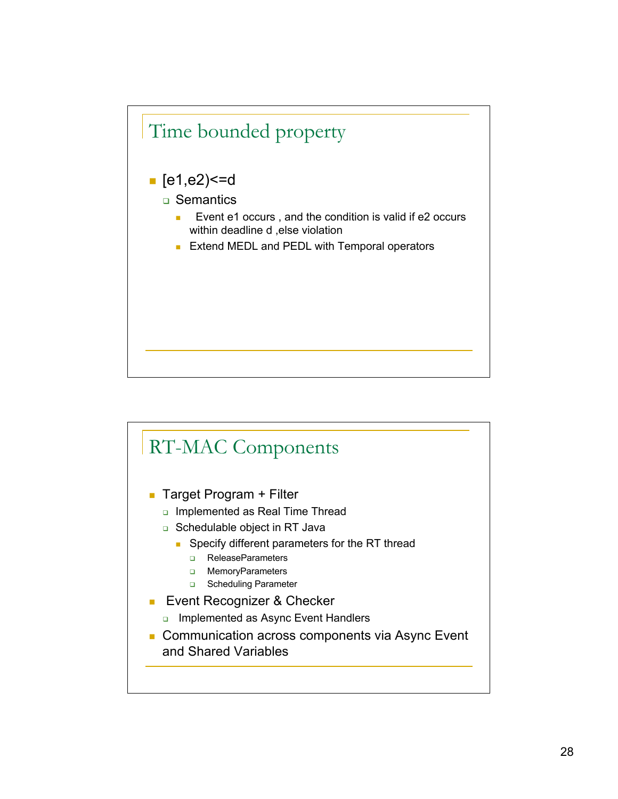

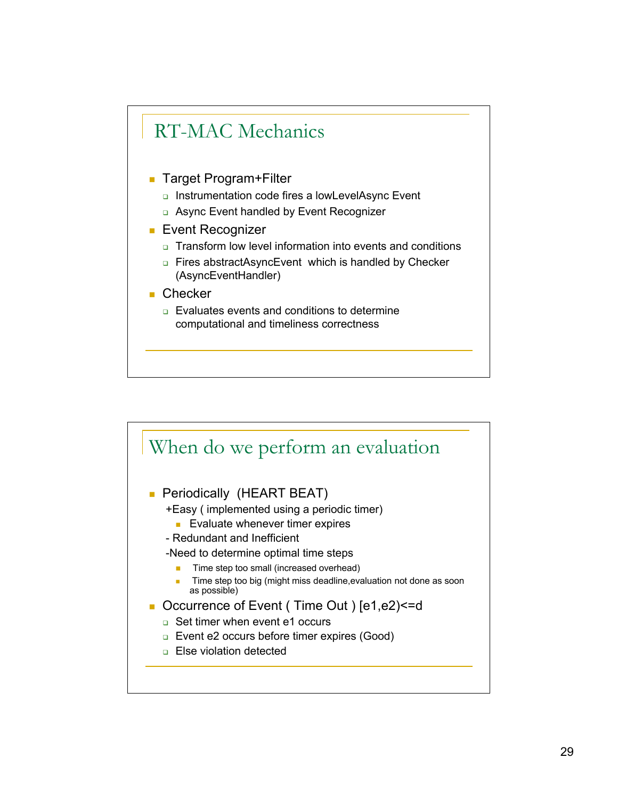

- Target Program+Filter
	- **Instrumentation code fires a lowLevelAsync Event**
	- □ Async Event handled by Event Recognizer
- **Event Recognizer** 
	- □ Transform low level information into events and conditions
	- **Example 2** Fires abstractAsyncEvent which is handled by Checker (AsyncEventHandler)
- Checker
	- **Evaluates events and conditions to determine** computational and timeliness correctness

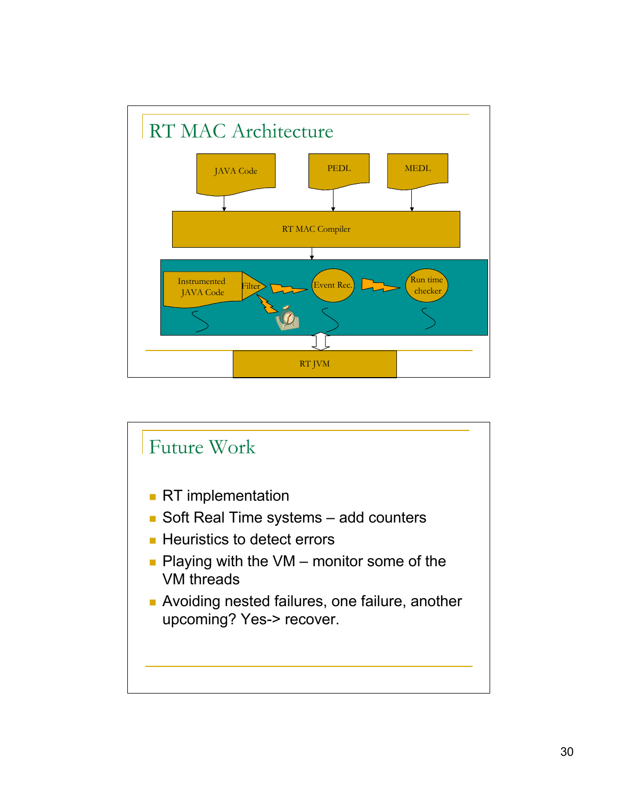